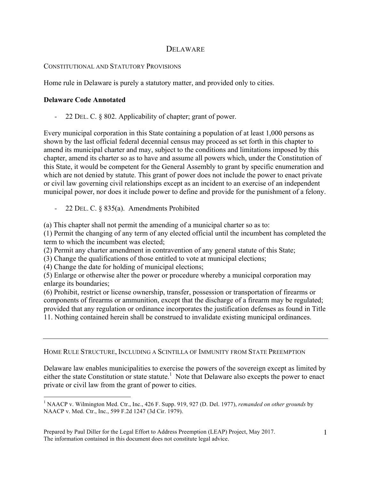## DELAWARE

## CONSTITUTIONAL AND STATUTORY PROVISIONS

Home rule in Delaware is purely a statutory matter, and provided only to cities.

## **Delaware Code Annotated**

- 22 DEL. C. § 802. Applicability of chapter; grant of power.

Every municipal corporation in this State containing a population of at least 1,000 persons as shown by the last official federal decennial census may proceed as set forth in this chapter to amend its municipal charter and may, subject to the conditions and limitations imposed by this chapter, amend its charter so as to have and assume all powers which, under the Constitution of this State, it would be competent for the General Assembly to grant by specific enumeration and which are not denied by statute. This grant of power does not include the power to enact private or civil law governing civil relationships except as an incident to an exercise of an independent municipal power, nor does it include power to define and provide for the punishment of a felony.

- 22 DEL. C. § 835(a). Amendments Prohibited

(a) This chapter shall not permit the amending of a municipal charter so as to:

(1) Permit the changing of any term of any elected official until the incumbent has completed the term to which the incumbent was elected;

(2) Permit any charter amendment in contravention of any general statute of this State;

(3) Change the qualifications of those entitled to vote at municipal elections;

(4) Change the date for holding of municipal elections;

(5) Enlarge or otherwise alter the power or procedure whereby a municipal corporation may enlarge its boundaries;

(6) Prohibit, restrict or license ownership, transfer, possession or transportation of firearms or components of firearms or ammunition, except that the discharge of a firearm may be regulated; provided that any regulation or ordinance incorporates the justification defenses as found in Title 11. Nothing contained herein shall be construed to invalidate existing municipal ordinances.

## HOME RULE STRUCTURE, INCLUDING A SCINTILLA OF IMMUNITY FROM STATE PREEMPTION

Delaware law enables municipalities to exercise the powers of the sovereign except as limited by either the state Constitution or state statute.<sup>1</sup> Note that Delaware also excepts the power to enact private or civil law from the grant of power to cities.

<sup>1</sup> NAACP v. Wilmington Med. Ctr., Inc., 426 F. Supp. 919, 927 (D. Del. 1977), *remanded on other grounds* by NAACP v. Med. Ctr., Inc., 599 F.2d 1247 (3d Cir. 1979).

Prepared by Paul Diller for the Legal Effort to Address Preemption (LEAP) Project, May 2017. The information contained in this document does not constitute legal advice.